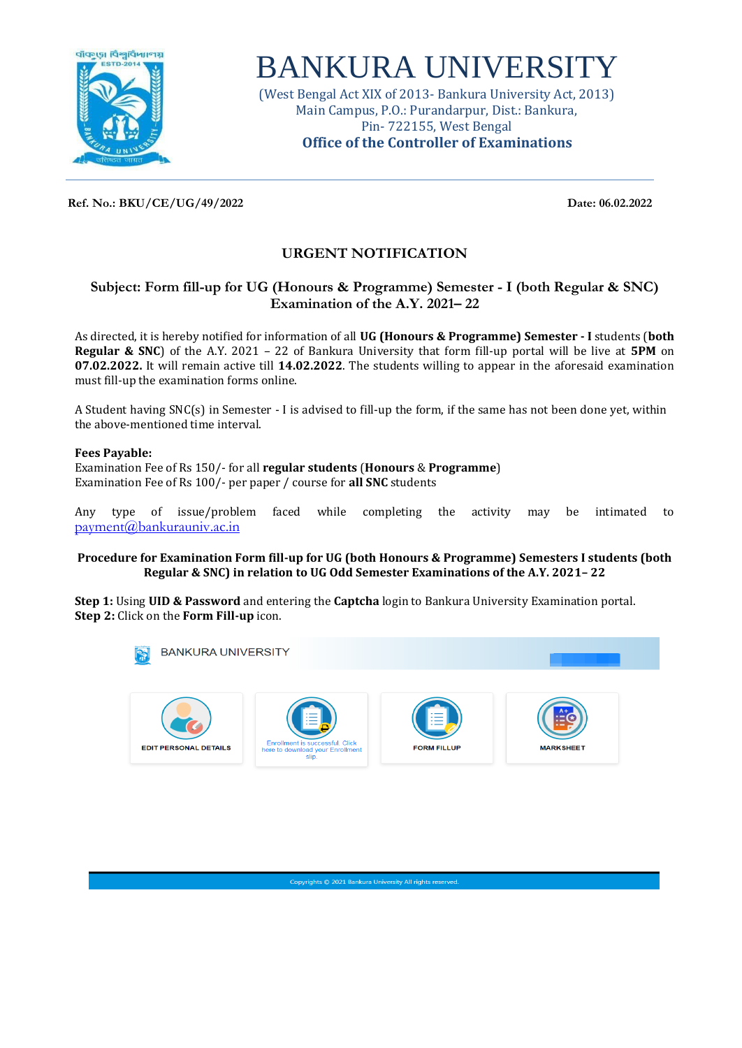

# BANKURA UNIVERSITY

(West Bengal Act XIX of 2013- Bankura University Act, 2013) Main Campus, P.O.: Purandarpur, Dist.: Bankura, Pin- 722155, West Bengal **Office of the Controller of Examinations**

**Ref. No.: BKU/CE/UG/49/2022 Date: 06.02.2022**

## **URGENT NOTIFICATION**

### **Subject: Form fill-up for UG (Honours & Programme) Semester - I (both Regular & SNC) Examination of the A.Y. 2021– 22**

As directed, it is hereby notified for information of all **UG (Honours & Programme) Semester - I** students (**both Regular & SNC**) of the A.Y. 2021 – 22 of Bankura University that form fill-up portal will be live at **5PM** on **07.02.2022.** It will remain active till **14.02.2022**. The students willing to appear in the aforesaid examination must fill-up the examination forms online.

A Student having SNC(s) in Semester - I is advised to fill-up the form, if the same has not been done yet, within the above-mentioned time interval.

#### **Fees Payable:**

Examination Fee of Rs 150/- for all **regular students** (**Honours** & **Programme**) Examination Fee of Rs 100/- per paper / course for **all SNC** students

Any type of issue/problem faced while completing the activity may be intimated to [payment@bankurauniv.ac.in](mailto:payment@bankurauniv.ac.in)

#### **Procedure for Examination Form fill-up for UG (both Honours & Programme) Semesters I students (both Regular & SNC) in relation to UG Odd Semester Examinations of the A.Y. 2021– 22**

**Step 1:** Using **UID & Password** and entering the **Captcha** login to Bankura University Examination portal. **Step 2:** Click on the **Form Fill-up** icon.

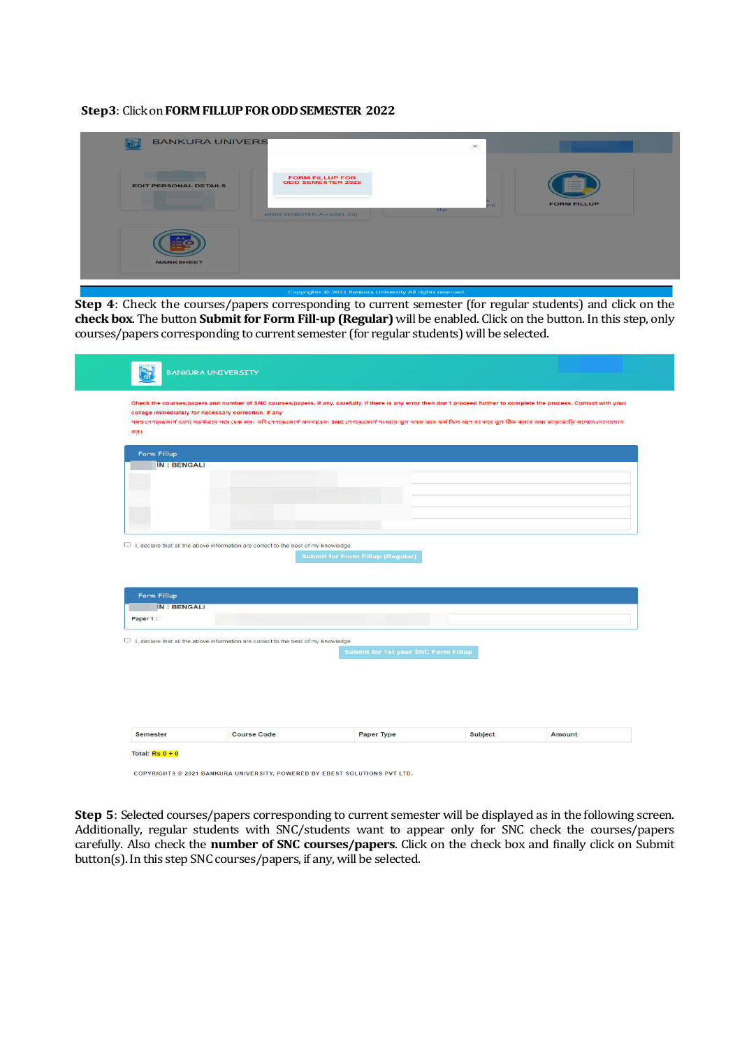#### Step3: Click on **FORM FILLUP FOR ODD SEMESTER 2022**

| <b>BANKURA UNIVERS</b>       |                                                                                   | $\mathbf{\times}$ |                                |
|------------------------------|-----------------------------------------------------------------------------------|-------------------|--------------------------------|
| <b>EDIT PERSONAL DETAILS</b> | <b>FORM FILLUP FOR</b><br><b>ODD SEMESTER 2022</b><br>(ODD SEMESTER, A.Y.2021-22) | nt<br>slip.       | --<br>--<br><b>FORM FILLUP</b> |
| <b>MARKSHEET</b>             |                                                                                   |                   |                                |

**Step 4**: Check the courses/papers corresponding to current semester (for regular students) and click on the **check box**. The button **Submit for Form Fill-up (Regular)** will be enabled. Click on the button. In this step, only courses/papers corresponding to current semester (for regular students) will be selected.

| Form Fillup        |                                                                                           |                                            |                |               |
|--------------------|-------------------------------------------------------------------------------------------|--------------------------------------------|----------------|---------------|
| <b>IN: BENGALI</b> |                                                                                           |                                            |                |               |
|                    |                                                                                           |                                            |                |               |
|                    |                                                                                           |                                            |                |               |
|                    |                                                                                           |                                            |                |               |
|                    |                                                                                           |                                            |                |               |
|                    |                                                                                           |                                            |                |               |
|                    | $\Box$ I, declare that all the above information are correct to the best of my knowledge. |                                            |                |               |
|                    |                                                                                           |                                            |                |               |
|                    |                                                                                           | <b>Submit for Form Fillup (Regular)</b>    |                |               |
|                    |                                                                                           |                                            |                |               |
|                    |                                                                                           |                                            |                |               |
| Form Fillup        |                                                                                           |                                            |                |               |
| <b>IN: BENGALI</b> |                                                                                           |                                            |                |               |
| Paper 1:           |                                                                                           |                                            |                |               |
|                    |                                                                                           |                                            |                |               |
|                    | $\Box$ I, declare that all the above information are correct to the best of my knowledge. |                                            |                |               |
|                    |                                                                                           | <b>Submit for 1st year SNC Form Fillup</b> |                |               |
|                    |                                                                                           |                                            |                |               |
|                    |                                                                                           |                                            |                |               |
|                    |                                                                                           |                                            |                |               |
|                    |                                                                                           |                                            |                |               |
|                    |                                                                                           |                                            |                |               |
|                    |                                                                                           |                                            |                |               |
|                    |                                                                                           |                                            |                |               |
| <b>Semester</b>    | <b>Course Code</b>                                                                        | Paper Type                                 | <b>Subject</b> | <b>Amount</b> |

**Step 5**: Selected courses/papers corresponding to current semester will be displayed as in the following screen. Additionally, regular students with SNC/students want to appear only for SNC check the courses/papers carefully. Also check the **number of SNC courses/papers**. Click on the check box and finally click on Submit button(s). In this step SNC courses/papers, if any, will be selected.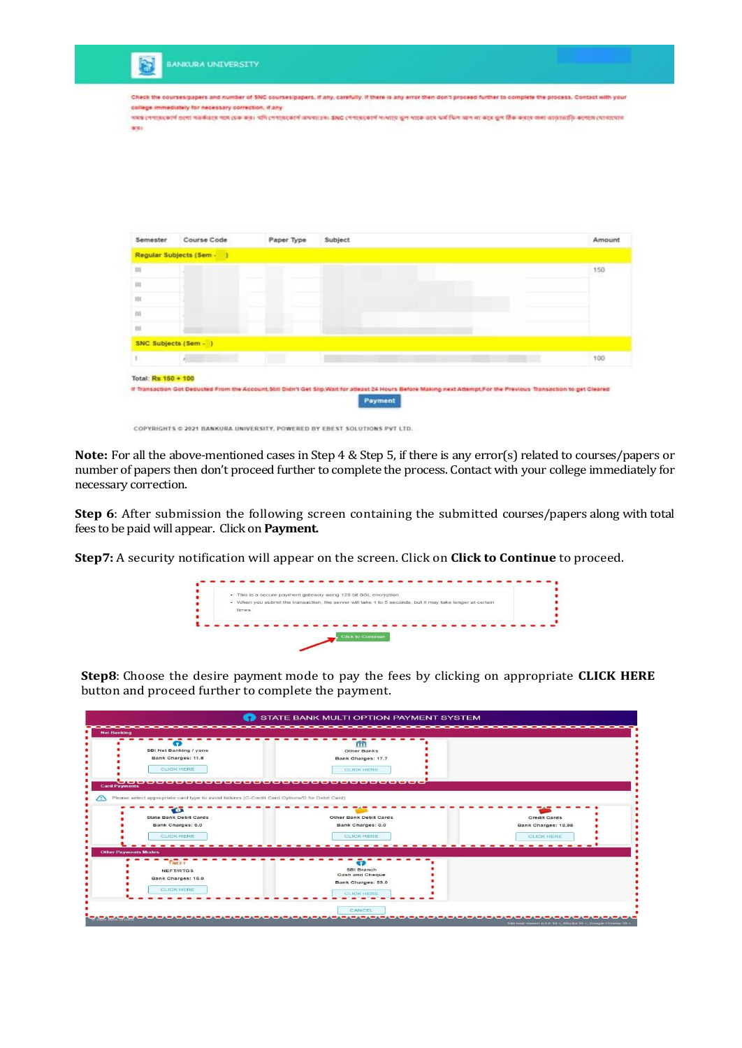| Amount |
|--------|
| 150    |
|        |
|        |
|        |
|        |
|        |
|        |
|        |

COPYRIGHTS © 2021 BANKURA UNIVERSITY, POWERED BY EBEST SOLUTIONS PVT LTD.

**Note:** For all the above-mentioned cases in Step 4 & Step 5, if there is any error(s) related to courses/papers or number of papers then don't proceed further to complete the process. Contact with your college immediately for necessary correction.

**Step 6**: After submission the following screen containing the submitted courses/papers along with total fees to be paid will appear. Click on **Payment.**

**Step7:** A security notification will appear on the screen. Click on **Click to Continue** to proceed.



**Step8**: Choose the desire payment mode to pay the fees by clicking on appropriate **CLICK HERE**  button and proceed further to complete the payment.

| <b>Net Banking</b>                                                                                                     |                                                        |                     |
|------------------------------------------------------------------------------------------------------------------------|--------------------------------------------------------|---------------------|
| <b>SBI Net Banking / yono</b><br>Bank Charges: 11.8<br><b>CLICK HERE</b>                                               | Other Banks<br>Bank Charges: 17.7<br><b>CLICK HERE</b> |                     |
| <b>Card Payments</b><br>Please select appropriate card type to avoid failures (C-Credit Card Options/D for Debit Card) | 000000000000000000000000000000000                      |                     |
| $\bullet$<br><b>State Bank Debit Cards</b>                                                                             | Other Bank Debit Cards                                 | <b>Credit Cards</b> |
| Bank Charges: 0.0                                                                                                      | Bank Charges: 0.0                                      | Bank Charges: 12.98 |
| <b>CLICK HERE</b>                                                                                                      | <b>CLICK HERE</b>                                      | <b>CLICK HERE</b>   |
| <b>Other Payments Modes</b>                                                                                            |                                                        |                     |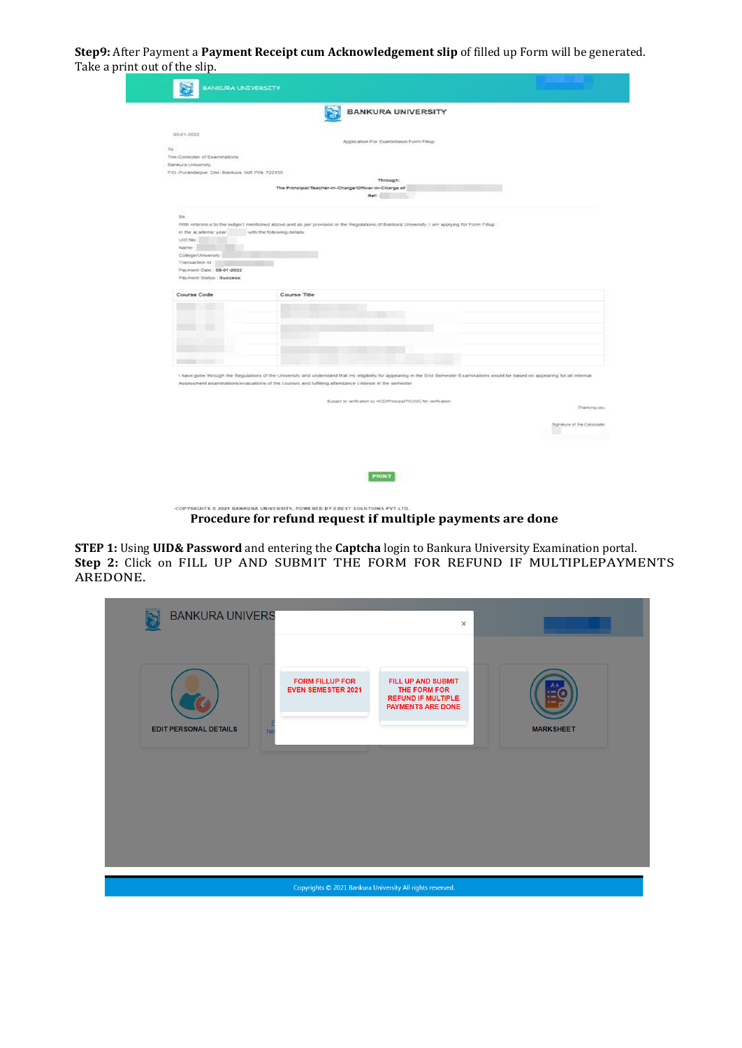**Step9:** After Payment a **Payment Receipt cum Acknowledgement slip** of filled up Form will be generated. Take a print out of the slip.

|                                                                                                     | <b>BANKURA UNIVERSITY</b>                                                                                                                                                            |
|-----------------------------------------------------------------------------------------------------|--------------------------------------------------------------------------------------------------------------------------------------------------------------------------------------|
|                                                                                                     |                                                                                                                                                                                      |
| 05-01-2022                                                                                          | Application For Examinizion Form Fillup                                                                                                                                              |
| To                                                                                                  |                                                                                                                                                                                      |
| The Controller of Examinations                                                                      |                                                                                                                                                                                      |
| Baraura University.                                                                                 |                                                                                                                                                                                      |
| P.O.-Purandarpur, Dist- Bankura, WB PIN-722155.                                                     |                                                                                                                                                                                      |
|                                                                                                     | Through:                                                                                                                                                                             |
|                                                                                                     | The Principal Teacher-in-Charge/Officer-in-Charge of                                                                                                                                 |
|                                                                                                     | Ref:                                                                                                                                                                                 |
| Sit.                                                                                                |                                                                                                                                                                                      |
|                                                                                                     | With reference to the subject mentioned above and as per provision in the Regulations of Bankura University, I am applying for Form Fillup                                           |
| with the following details:<br>in the academic year.                                                |                                                                                                                                                                                      |
| UID No:                                                                                             |                                                                                                                                                                                      |
| Name:                                                                                               |                                                                                                                                                                                      |
| College/University                                                                                  |                                                                                                                                                                                      |
| Transaction ld                                                                                      |                                                                                                                                                                                      |
| Payment Date: 06-01-2022                                                                            |                                                                                                                                                                                      |
| Payment Status Budgess                                                                              |                                                                                                                                                                                      |
| Course Code<br>Course Title                                                                         |                                                                                                                                                                                      |
|                                                                                                     |                                                                                                                                                                                      |
|                                                                                                     |                                                                                                                                                                                      |
|                                                                                                     |                                                                                                                                                                                      |
|                                                                                                     |                                                                                                                                                                                      |
|                                                                                                     |                                                                                                                                                                                      |
|                                                                                                     |                                                                                                                                                                                      |
|                                                                                                     |                                                                                                                                                                                      |
|                                                                                                     |                                                                                                                                                                                      |
|                                                                                                     |                                                                                                                                                                                      |
| <b>Committee Committee</b>                                                                          |                                                                                                                                                                                      |
|                                                                                                     |                                                                                                                                                                                      |
|                                                                                                     | I have gone through the Regulations of the University and understand that my eligibility for appearing in the End Semester Examinations would be based on appearing for all Internal |
| Assessment examinations/evaluations of the courses and futboyg attendance coteriori in the semester |                                                                                                                                                                                      |
|                                                                                                     |                                                                                                                                                                                      |
|                                                                                                     | Subject to verification by HOD/Pyrestatel/TIG/OID for verification:                                                                                                                  |
|                                                                                                     | Thanking you                                                                                                                                                                         |
|                                                                                                     |                                                                                                                                                                                      |
|                                                                                                     |                                                                                                                                                                                      |
|                                                                                                     | Signature of the Candidate                                                                                                                                                           |
|                                                                                                     |                                                                                                                                                                                      |
|                                                                                                     |                                                                                                                                                                                      |
|                                                                                                     |                                                                                                                                                                                      |
|                                                                                                     |                                                                                                                                                                                      |
|                                                                                                     | <b>PRIMT</b>                                                                                                                                                                         |
|                                                                                                     |                                                                                                                                                                                      |

**Procedure for refund request if multiple payments are done**

**STEP 1:** Using **UID& Password** and entering the **Captcha** login to Bankura University Examination portal. **Step 2:** Click on FILL UP AND SUBMIT THE FORM FOR REFUND IF MULTIPLEPAYMENTS AREDONE.